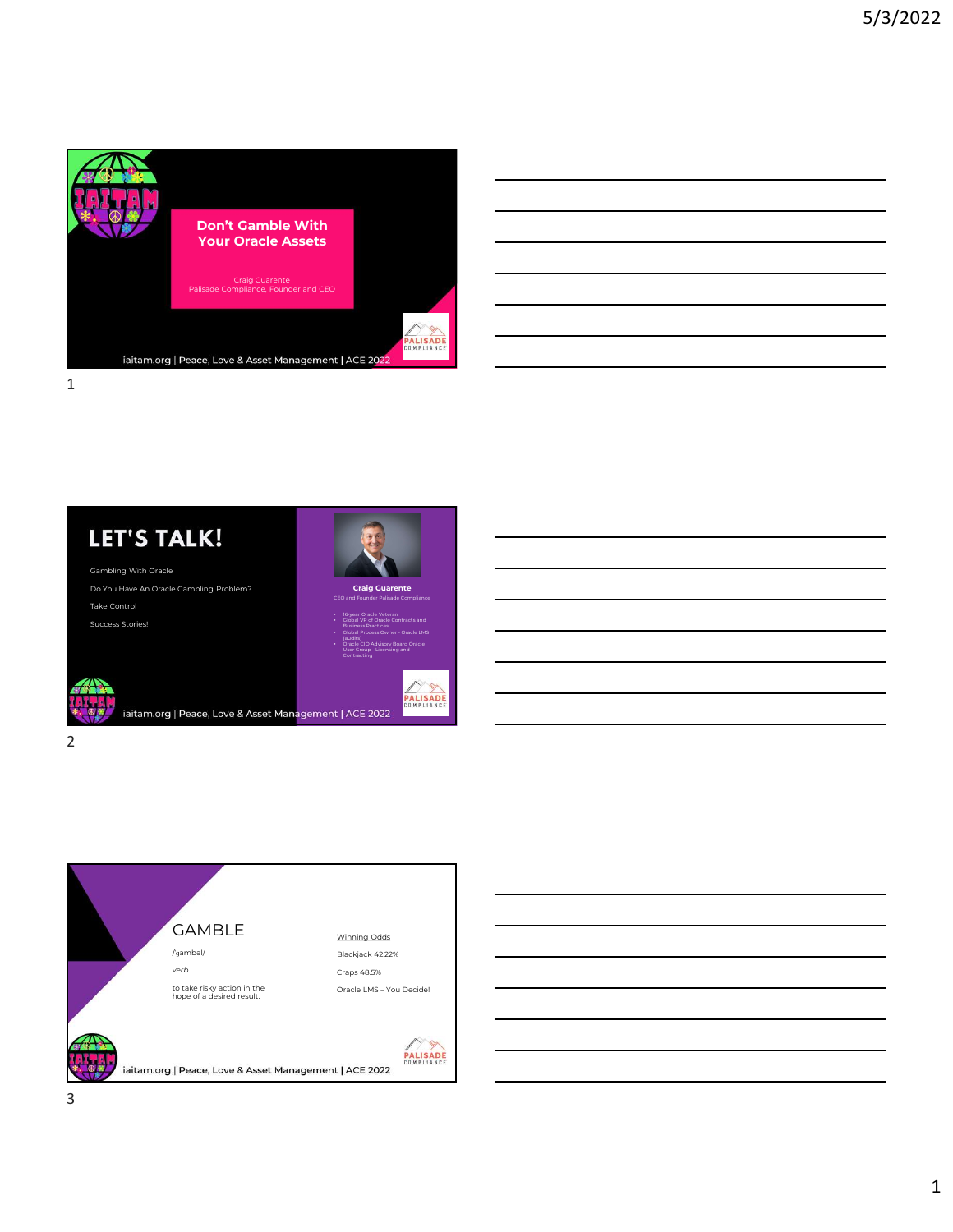



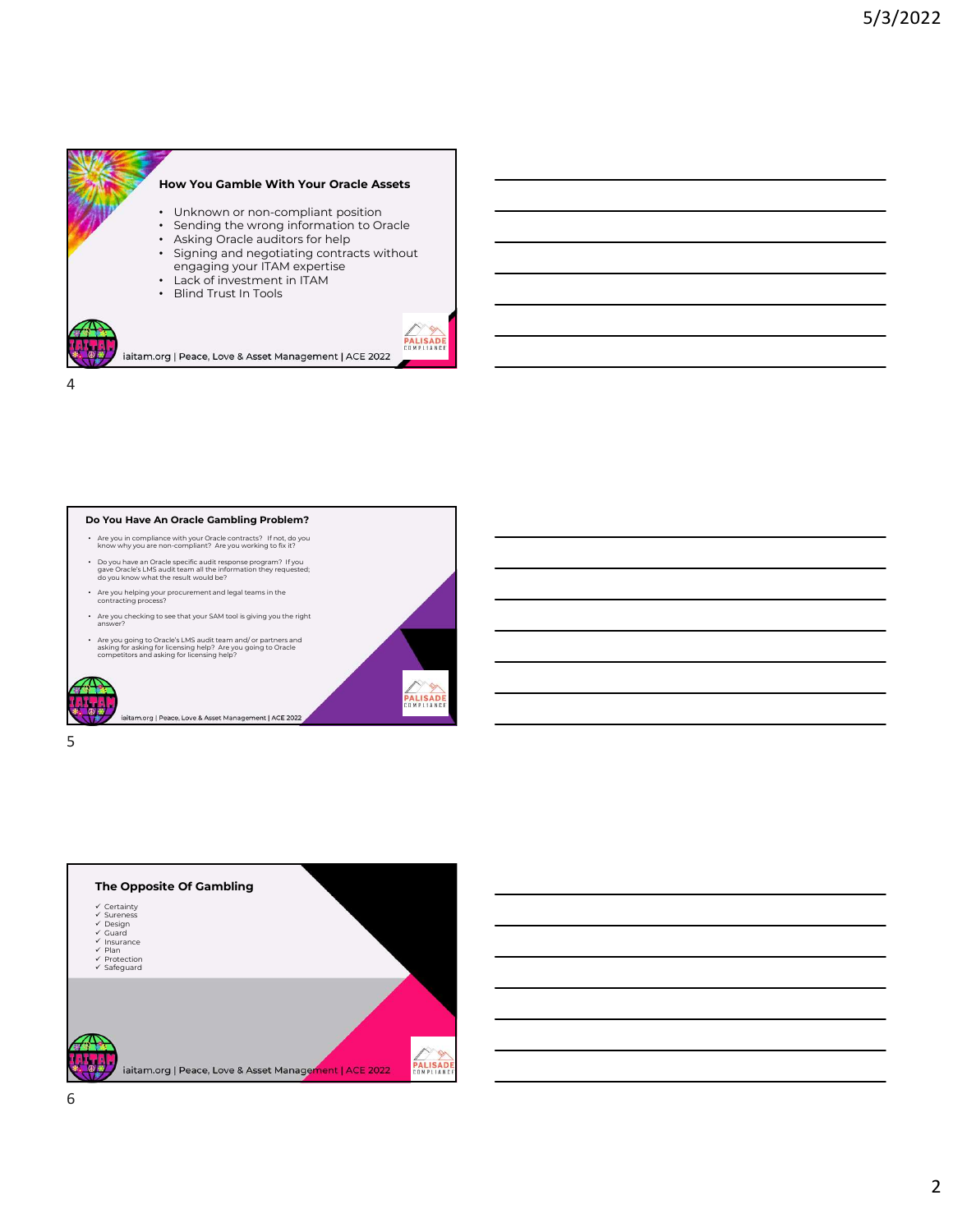







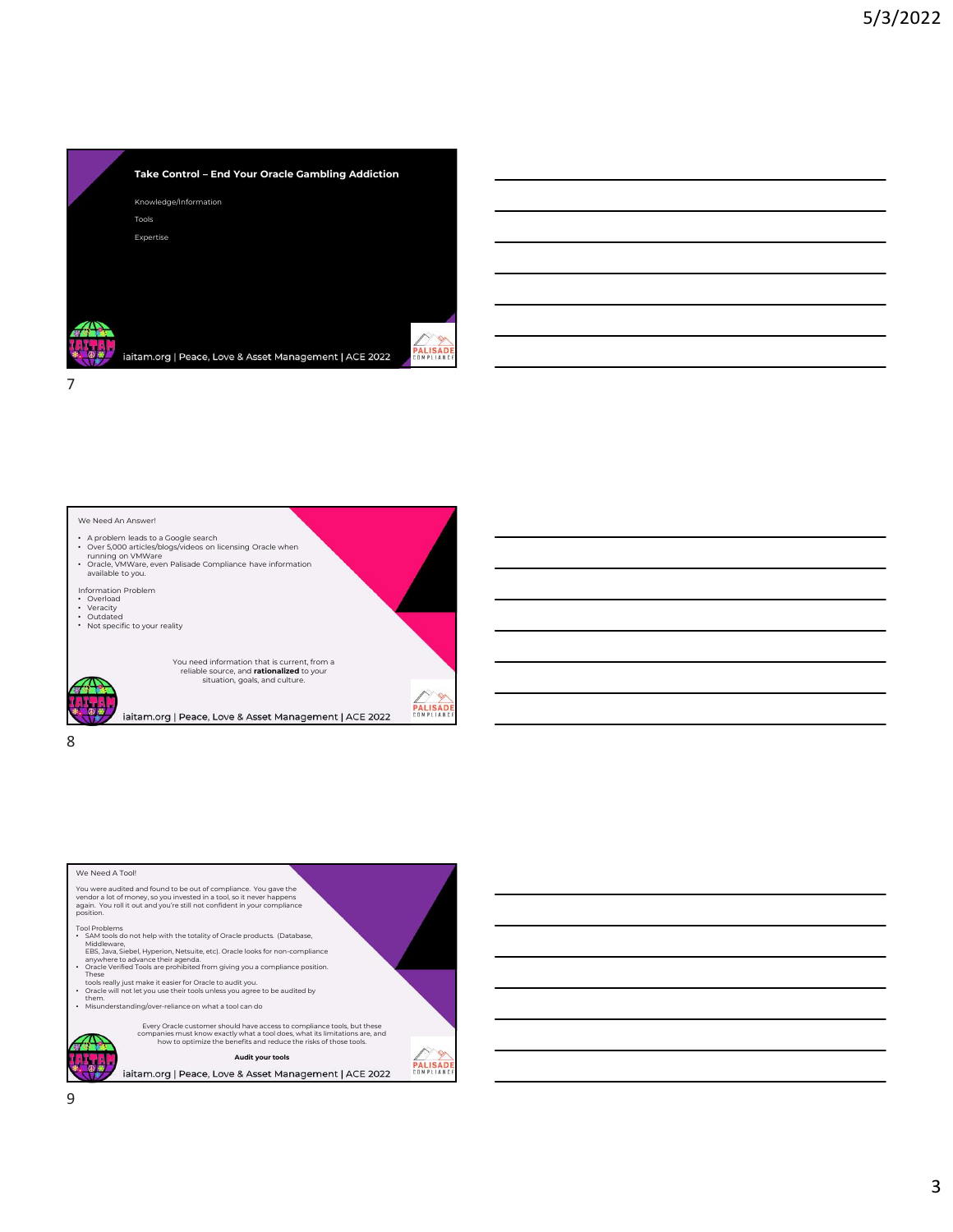



| We Need A Tool!                                                                                                                                                                                                                                                                                                     |  |
|---------------------------------------------------------------------------------------------------------------------------------------------------------------------------------------------------------------------------------------------------------------------------------------------------------------------|--|
| You were audited and found to be out of compliance. You gave the<br>vendor a lot of money, so you invested in a tool, so it never happens<br>again. You roll it out and you're still not confident in your compliance<br>position.                                                                                  |  |
| <b>Tool Problems</b><br>· SAM tools do not help with the totality of Oracle products. (Database,<br>Middleware.<br>EBS, Java, Siebel, Hyperion, Netsuite, etc). Oracle looks for non-compliance<br>anywhere to advance their agenda.<br>Oracle Verified Tools are prohibited from giving you a compliance position. |  |
| These<br>tools really just make it easier for Oracle to audit you.<br>Oracle will not let you use their tools unless you agree to be audited by<br>them.                                                                                                                                                            |  |
| Misunderstanding/over-reliance on what a tool can do                                                                                                                                                                                                                                                                |  |
| Every Oracle customer should have access to compliance tools, but these<br>companies must know exactly what a tool does, what its limitations are, and<br>how to optimize the benefits and reduce the risks of those tools.                                                                                         |  |
| <b>Audit vour tools</b>                                                                                                                                                                                                                                                                                             |  |
| iaitam.org   Peace, Love & Asset Management   ACE 2022                                                                                                                                                                                                                                                              |  |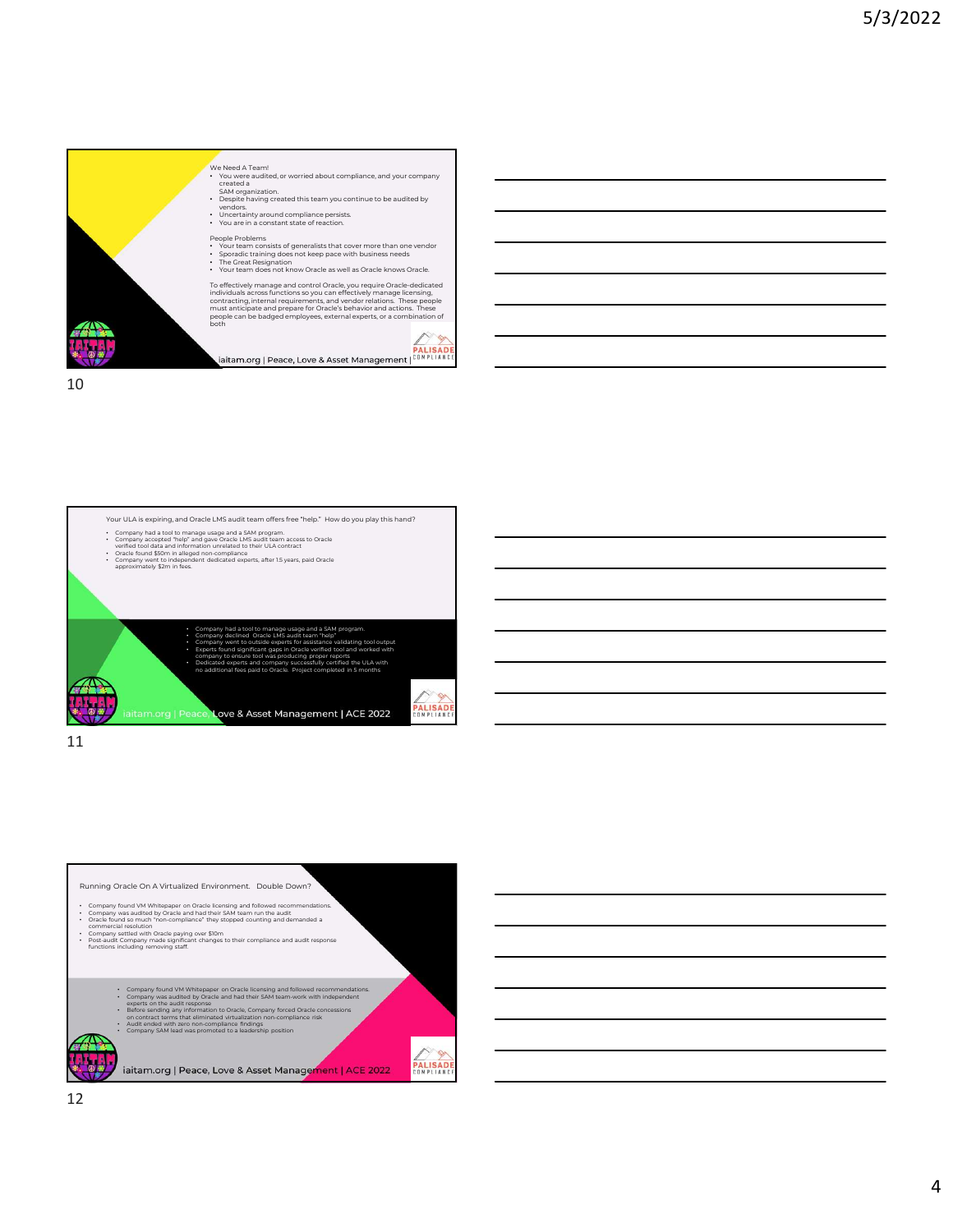







4